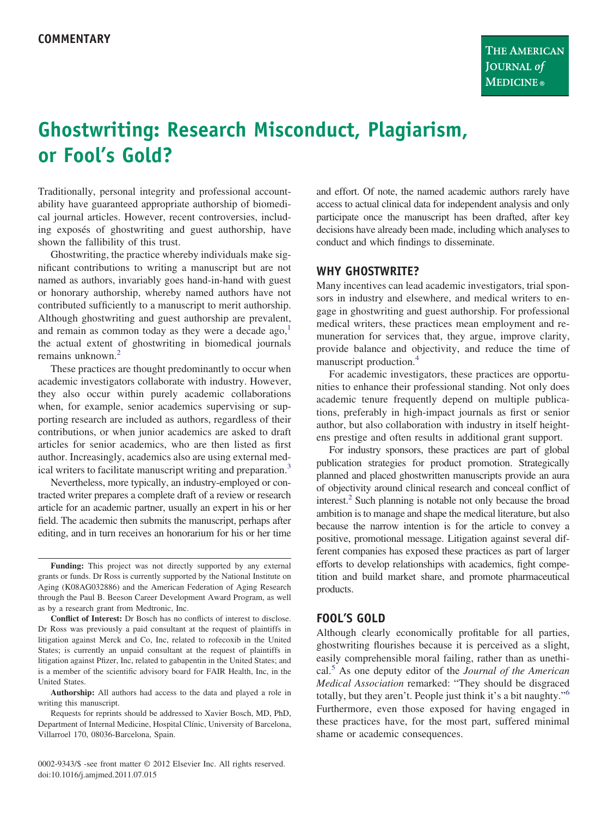# **Ghostwriting: Research Misconduct, Plagiarism, or Fool's Gold?**

Traditionally, personal integrity and professional accountability have guaranteed appropriate authorship of biomedical journal articles. However, recent controversies, including exposés of ghostwriting and guest authorship, have shown the fallibility of this trust.

Ghostwriting, the practice whereby individuals make significant contributions to writing a manuscript but are not named as authors, invariably goes hand-in-hand with guest or honorary authorship, whereby named authors have not contributed sufficiently to a manuscript to merit authorship. Although ghostwriting and guest authorship are prevalent, and remain as common today as they were a decade  $ago<sub>1</sub>$ <sup>1</sup> the actual extent of ghostwriting in biomedical journals remains unknown.<sup>[2](#page-1-1)</sup>

These practices are thought predominantly to occur when academic investigators collaborate with industry. However, they also occur within purely academic collaborations when, for example, senior academics supervising or supporting research are included as authors, regardless of their contributions, or when junior academics are asked to draft articles for senior academics, who are then listed as first author. Increasingly, academics also are using external med-ical writers to facilitate manuscript writing and preparation.<sup>[3](#page-1-2)</sup>

Nevertheless, more typically, an industry-employed or contracted writer prepares a complete draft of a review or research article for an academic partner, usually an expert in his or her field. The academic then submits the manuscript, perhaps after editing, and in turn receives an honorarium for his or her time

**Conflict of Interest:** Dr Bosch has no conflicts of interest to disclose. Dr Ross was previously a paid consultant at the request of plaintiffs in litigation against Merck and Co, Inc, related to rofecoxib in the United States; is currently an unpaid consultant at the request of plaintiffs in litigation against Pfizer, Inc, related to gabapentin in the United States; and is a member of the scientific advisory board for FAIR Health, Inc, in the United States.

**Authorship:** All authors had access to the data and played a role in writing this manuscript.

Requests for reprints should be addressed to Xavier Bosch, MD, PhD, Department of Internal Medicine, Hospital Clínic, University of Barcelona, Villarroel 170, 08036-Barcelona, Spain.

0002-9343/\$ -see front matter © 2012 Elsevier Inc. All rights reserved. doi:10.1016/j.amjmed.2011.07.015

and effort. Of note, the named academic authors rarely have access to actual clinical data for independent analysis and only participate once the manuscript has been drafted, after key decisions have already been made, including which analyses to conduct and which findings to disseminate.

#### **WHY GHOSTWRITE?**

Many incentives can lead academic investigators, trial sponsors in industry and elsewhere, and medical writers to engage in ghostwriting and guest authorship. For professional medical writers, these practices mean employment and remuneration for services that, they argue, improve clarity, provide balance and objectivity, and reduce the time of manuscript production.<sup>[4](#page-2-0)</sup>

For academic investigators, these practices are opportunities to enhance their professional standing. Not only does academic tenure frequently depend on multiple publications, preferably in high-impact journals as first or senior author, but also collaboration with industry in itself heightens prestige and often results in additional grant support.

For industry sponsors, these practices are part of global publication strategies for product promotion. Strategically planned and placed ghostwritten manuscripts provide an aura of objectivity around clinical research and conceal conflict of interest. $<sup>2</sup>$  Such planning is notable not only because the broad</sup> ambition is to manage and shape the medical literature, but also because the narrow intention is for the article to convey a positive, promotional message. Litigation against several different companies has exposed these practices as part of larger efforts to develop relationships with academics, fight competition and build market share, and promote pharmaceutical products.

## **FOOL'S GOLD**

Although clearly economically profitable for all parties, ghostwriting flourishes because it is perceived as a slight, easily comprehensible moral failing, rather than as unethical.[5](#page-2-1) As one deputy editor of the *Journal of the American Medical Association* remarked: "They should be disgraced totally, but they aren't. People just think it's a bit naughty."[6](#page-2-2) Furthermore, even those exposed for having engaged in these practices have, for the most part, suffered minimal shame or academic consequences.

**Funding:** This project was not directly supported by any external grants or funds. Dr Ross is currently supported by the National Institute on Aging (K08AG032886) and the American Federation of Aging Research through the Paul B. Beeson Career Development Award Program, as well as by a research grant from Medtronic, Inc.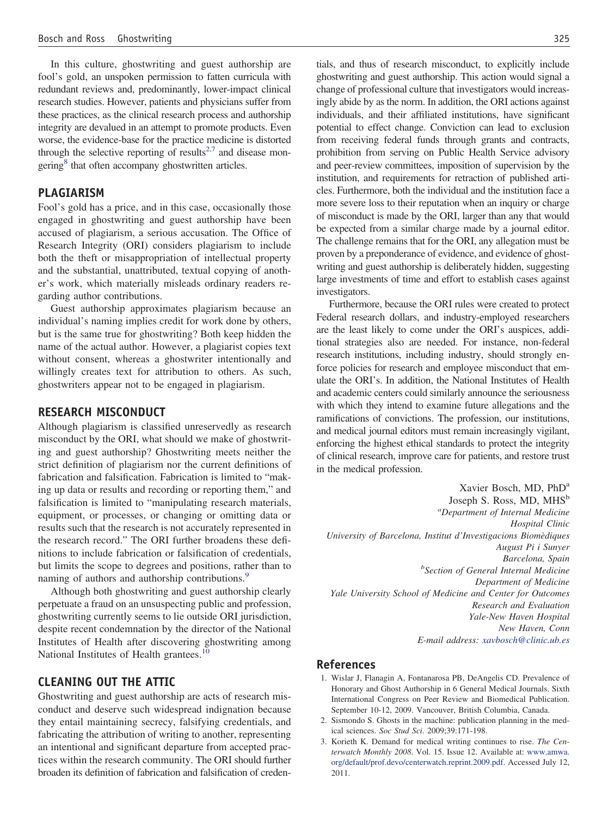In this culture, ghostwriting and guest authorship are fool's gold, an unspoken permission to fatten curricula with redundant reviews and, predominantly, lower-impact clinical research studies. However, patients and physicians suffer from these practices, as the clinical research process and authorship integrity are devalued in an attempt to promote products. Even worse, the evidence-base for the practice medicine is distorted through the selective reporting of results<sup>2,7</sup> and disease mongering<sup>8</sup> that often accompany ghostwritten articles.

### **PLAGIARISM**

Fool's gold has a price, and in this case, occasionally those engaged in ghostwriting and guest authorship have been accused of plagiarism, a serious accusation. The Office of Research Integrity (ORI) considers plagiarism to include both the theft or misappropriation of intellectual property and the substantial, unattributed, textual copying of another's work, which materially misleads ordinary readers regarding author contributions.

Guest authorship approximates plagiarism because an individual's naming implies credit for work done by others, but is the same true for ghostwriting? Both keep hidden the name of the actual author. However, a plagiarist copies text without consent, whereas a ghostwriter intentionally and willingly creates text for attribution to others. As such, ghostwriters appear not to be engaged in plagiarism.

#### **RESEARCH MISCONDUCT**

Although plagiarism is classified unreservedly as research misconduct by the ORI, what should we make of ghostwriting and guest authorship? Ghostwriting meets neither the strict definition of plagiarism nor the current definitions of fabrication and falsification. Fabrication is limited to "making up data or results and recording or reporting them," and falsification is limited to "manipulating research materials, equipment, or processes, or changing or omitting data or results such that the research is not accurately represented in the research record." The ORI further broadens these definitions to include fabrication or falsification of credentials, but limits the scope to degrees and positions, rather than to naming of authors and authorship contributions.<sup>[9](#page-2-4)</sup>

Although both ghostwriting and guest authorship clearly perpetuate a fraud on an unsuspecting public and profession, ghostwriting currently seems to lie outside ORI jurisdiction, despite recent condemnation by the director of the National Institutes of Health after discovering ghostwriting among National Institutes of Health grantees.<sup>1</sup>

#### **CLEANING OUT THE ATTIC**

Ghostwriting and guest authorship are acts of research misconduct and deserve such widespread indignation because they entail maintaining secrecy, falsifying credentials, and fabricating the attribution of writing to another, representing an intentional and significant departure from accepted practices within the research community. The ORI should further broaden its definition of fabrication and falsification of credentials, and thus of research misconduct, to explicitly include ghostwriting and guest authorship. This action would signal a change of professional culture that investigators would increasingly abide by as the norm. In addition, the ORI actions against individuals, and their affiliated institutions, have significant potential to effect change. Conviction can lead to exclusion from receiving federal funds through grants and contracts, prohibition from serving on Public Health Service advisory and peer-review committees, imposition of supervision by the institution, and requirements for retraction of published articles. Furthermore, both the individual and the institution face a more severe loss to their reputation when an inquiry or charge of misconduct is made by the ORI, larger than any that would be expected from a similar charge made by a journal editor. The challenge remains that for the ORI, any allegation must be proven by a preponderance of evidence, and evidence of ghostwriting and guest authorship is deliberately hidden, suggesting large investments of time and effort to establish cases against investigators.

Furthermore, because the ORI rules were created to protect Federal research dollars, and industry-employed researchers are the least likely to come under the ORI's auspices, additional strategies also are needed. For instance, non-federal research institutions, including industry, should strongly enforce policies for research and employee misconduct that emulate the ORI's. In addition, the National Institutes of Health and academic centers could similarly announce the seriousness with which they intend to examine future allegations and the ramifications of convictions. The profession, our institutions, and medical journal editors must remain increasingly vigilant, enforcing the highest ethical standards to protect the integrity of clinical research, improve care for patients, and restore trust in the medical profession.

Xavier Bosch, MD, PhD<sup>a</sup> Joseph S. Ross, MD, MHS<sup>b</sup> *a Department of Internal Medicine Hospital Clinic University of Barcelona, Institut d'Investigacions Biomèdiques August Pi i Sunyer Barcelona, Spain <sup>b</sup> Section of General Internal Medicine Department of Medicine Yale University School of Medicine and Center for Outcomes Research and Evaluation Yale-New Haven Hospital New Haven, Conn E-mail address: [xavbosch@clinic.ub.es](mailto:xavbosch@clinic.ub.es)*

### <span id="page-1-0"></span>**References**

- 1. Wislar J, Flanagin A, Fontanarosa PB, DeAngelis CD. Prevalence of Honorary and Ghost Authorship in 6 General Medical Journals. Sixth International Congress on Peer Review and Biomedical Publication. September 10-12, 2009. Vancouver, British Columbia, Canada.
- <span id="page-1-2"></span><span id="page-1-1"></span>2. Sismondo S. Ghosts in the machine: publication planning in the medical sciences. *Soc Stud Sci*. 2009;39:171-198.
- 3. Korieth K. Demand for medical writing continues to rise. *The Centerwatch Monthly 2008*. Vol. 15. Issue 12. Available at: [www.amwa.](http://www.amwa.org/default/prof.devo/centerwatch.reprint.2009.pdf) [org/default/prof.devo/centerwatch.reprint.2009.pdf.](http://www.amwa.org/default/prof.devo/centerwatch.reprint.2009.pdf) Accessed July 12, 2011.